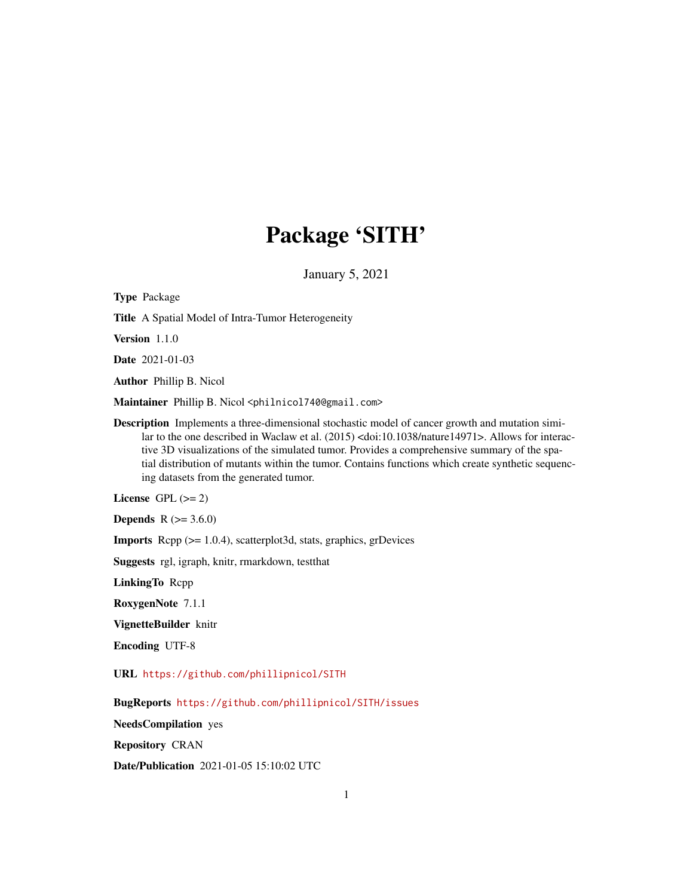## Package 'SITH'

January 5, 2021

Type Package Title A Spatial Model of Intra-Tumor Heterogeneity Version 1.1.0 Date 2021-01-03 Author Phillip B. Nicol Maintainer Phillip B. Nicol <philnicol740@gmail.com> Description Implements a three-dimensional stochastic model of cancer growth and mutation similar to the one described in Waclaw et al. (2015) <doi:10.1038/nature14971>. Allows for interactive 3D visualizations of the simulated tumor. Provides a comprehensive summary of the spatial distribution of mutants within the tumor. Contains functions which create synthetic sequencing datasets from the generated tumor. License GPL  $(>= 2)$ **Depends** R  $(>= 3.6.0)$ Imports Rcpp (>= 1.0.4), scatterplot3d, stats, graphics, grDevices Suggests rgl, igraph, knitr, rmarkdown, testthat LinkingTo Rcpp RoxygenNote 7.1.1 VignetteBuilder knitr Encoding UTF-8 URL <https://github.com/phillipnicol/SITH> BugReports <https://github.com/phillipnicol/SITH/issues> NeedsCompilation yes Repository CRAN Date/Publication 2021-01-05 15:10:02 UTC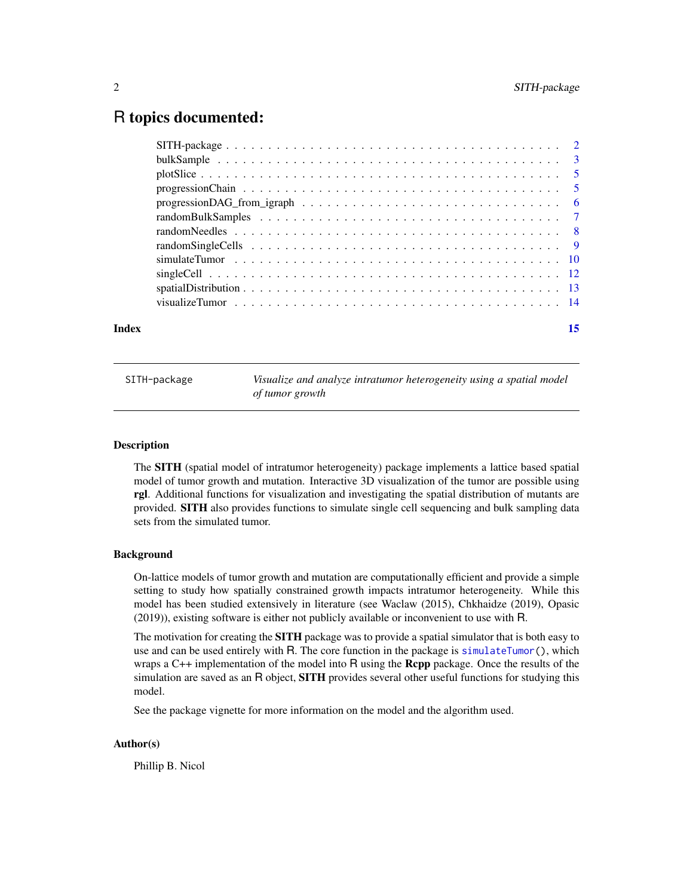### <span id="page-1-0"></span>R topics documented:

| Index | 15 |
|-------|----|
|       |    |
|       |    |
|       |    |
|       |    |
|       |    |
|       |    |
|       |    |
|       |    |
|       |    |
|       |    |
|       |    |
|       |    |

SITH-package *Visualize and analyze intratumor heterogeneity using a spatial model of tumor growth*

#### Description

The SITH (spatial model of intratumor heterogeneity) package implements a lattice based spatial model of tumor growth and mutation. Interactive 3D visualization of the tumor are possible using rgl. Additional functions for visualization and investigating the spatial distribution of mutants are provided. SITH also provides functions to simulate single cell sequencing and bulk sampling data sets from the simulated tumor.

#### Background

On-lattice models of tumor growth and mutation are computationally efficient and provide a simple setting to study how spatially constrained growth impacts intratumor heterogeneity. While this model has been studied extensively in literature (see Waclaw (2015), Chkhaidze (2019), Opasic (2019)), existing software is either not publicly available or inconvenient to use with R.

The motivation for creating the **SITH** package was to provide a spatial simulator that is both easy to use and can be used entirely with R. The core function in the package is [simulateTumor\(](#page-9-1)), which wraps a  $C_{++}$  implementation of the model into R using the **Rcpp** package. Once the results of the simulation are saved as an R object, **SITH** provides several other useful functions for studying this model.

See the package vignette for more information on the model and the algorithm used.

#### Author(s)

Phillip B. Nicol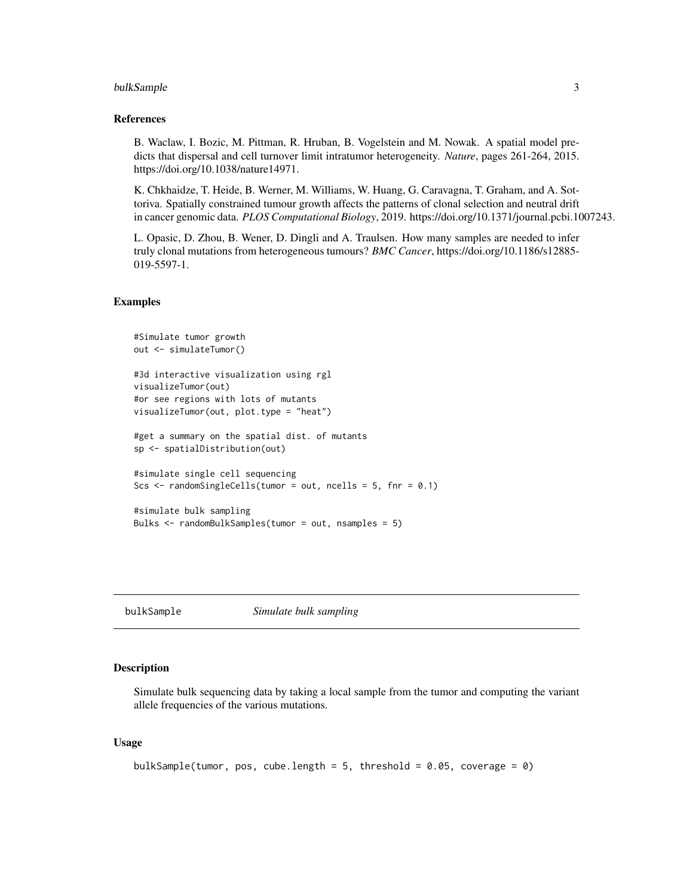#### <span id="page-2-0"></span>bulkSample 3

#### References

B. Waclaw, I. Bozic, M. Pittman, R. Hruban, B. Vogelstein and M. Nowak. A spatial model predicts that dispersal and cell turnover limit intratumor heterogeneity. *Nature*, pages 261-264, 2015. https://doi.org/10.1038/nature14971.

K. Chkhaidze, T. Heide, B. Werner, M. Williams, W. Huang, G. Caravagna, T. Graham, and A. Sottoriva. Spatially constrained tumour growth affects the patterns of clonal selection and neutral drift in cancer genomic data. *PLOS Computational Biology*, 2019. https://doi.org/10.1371/journal.pcbi.1007243.

L. Opasic, D. Zhou, B. Wener, D. Dingli and A. Traulsen. How many samples are needed to infer truly clonal mutations from heterogeneous tumours? *BMC Cancer*, https://doi.org/10.1186/s12885- 019-5597-1.

#### Examples

```
#Simulate tumor growth
out <- simulateTumor()
#3d interactive visualization using rgl
visualizeTumor(out)
#or see regions with lots of mutants
visualizeTumor(out, plot.type = "heat")
#get a summary on the spatial dist. of mutants
sp <- spatialDistribution(out)
#simulate single cell sequencing
Scs \le randomSingleCells(tumor = out, ncells = 5, fnr = 0.1)
#simulate bulk sampling
Bulks <- randomBulkSamples(tumor = out, nsamples = 5)
```
<span id="page-2-1"></span>bulkSample *Simulate bulk sampling*

#### **Description**

Simulate bulk sequencing data by taking a local sample from the tumor and computing the variant allele frequencies of the various mutations.

#### Usage

```
bulkSample(tumor, pos, cube.length = 5, threshold = 0.05, coverage = 0)
```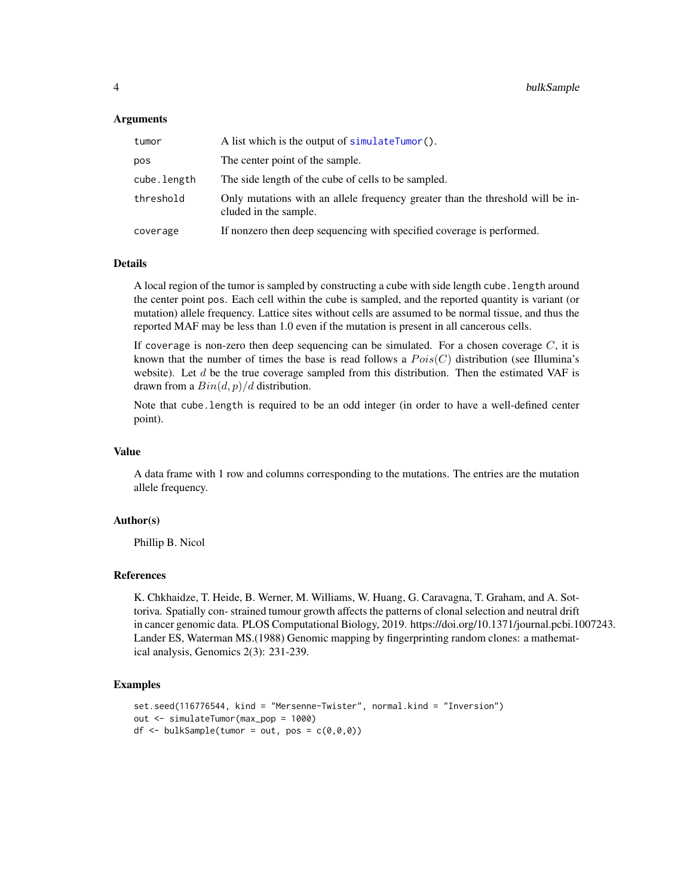#### <span id="page-3-0"></span>**Arguments**

| tumor       | A list which is the output of simulateTumor().                                                          |
|-------------|---------------------------------------------------------------------------------------------------------|
| pos         | The center point of the sample.                                                                         |
| cube.length | The side length of the cube of cells to be sampled.                                                     |
| threshold   | Only mutations with an allele frequency greater than the threshold will be in-<br>cluded in the sample. |
| coverage    | If nonzero then deep sequencing with specified coverage is performed.                                   |

#### Details

A local region of the tumor is sampled by constructing a cube with side length cube.length around the center point pos. Each cell within the cube is sampled, and the reported quantity is variant (or mutation) allele frequency. Lattice sites without cells are assumed to be normal tissue, and thus the reported MAF may be less than 1.0 even if the mutation is present in all cancerous cells.

If coverage is non-zero then deep sequencing can be simulated. For a chosen coverage  $C$ , it is known that the number of times the base is read follows a  $Pois(C)$  distribution (see Illumina's website). Let  $d$  be the true coverage sampled from this distribution. Then the estimated VAF is drawn from a  $Bin(d, p)/d$  distribution.

Note that cube.length is required to be an odd integer (in order to have a well-defined center point).

#### Value

A data frame with 1 row and columns corresponding to the mutations. The entries are the mutation allele frequency.

#### Author(s)

Phillip B. Nicol

#### References

K. Chkhaidze, T. Heide, B. Werner, M. Williams, W. Huang, G. Caravagna, T. Graham, and A. Sottoriva. Spatially con- strained tumour growth affects the patterns of clonal selection and neutral drift in cancer genomic data. PLOS Computational Biology, 2019. https://doi.org/10.1371/journal.pcbi.1007243. Lander ES, Waterman MS.(1988) Genomic mapping by fingerprinting random clones: a mathematical analysis, Genomics 2(3): 231-239.

```
set.seed(116776544, kind = "Mersenne-Twister", normal.kind = "Inversion")
out <- simulateTumor(max_pop = 1000)
df \le bulkSample(tumor = out, pos = c(0,0,0))
```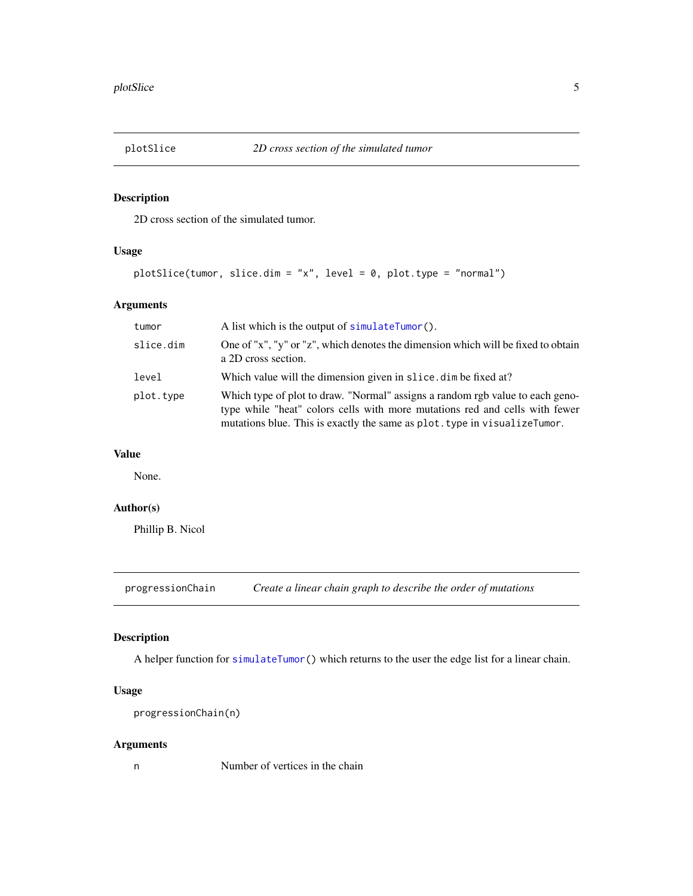<span id="page-4-0"></span>

2D cross section of the simulated tumor.

#### Usage

```
plotSlice(tumor, slice.dim = "x", level = 0, plot.type = "normal")
```
#### Arguments

| tumor     | A list which is the output of simulateTumor().                                                                                                                                                                                            |
|-----------|-------------------------------------------------------------------------------------------------------------------------------------------------------------------------------------------------------------------------------------------|
| slice.dim | One of "x", "y" or "z", which denotes the dimension which will be fixed to obtain<br>a 2D cross section.                                                                                                                                  |
| level     | Which value will the dimension given in slice, dim be fixed at?                                                                                                                                                                           |
| plot.type | Which type of plot to draw. "Normal" assigns a random rgb value to each geno-<br>type while "heat" colors cells with more mutations red and cells with fewer<br>mutations blue. This is exactly the same as plot. type in visualizeTumor. |

#### Value

None.

#### Author(s)

Phillip B. Nicol

<span id="page-4-1"></span>progressionChain *Create a linear chain graph to describe the order of mutations*

#### Description

A helper function for [simulateTumor\(](#page-9-1)) which returns to the user the edge list for a linear chain.

#### Usage

```
progressionChain(n)
```
#### Arguments

n Number of vertices in the chain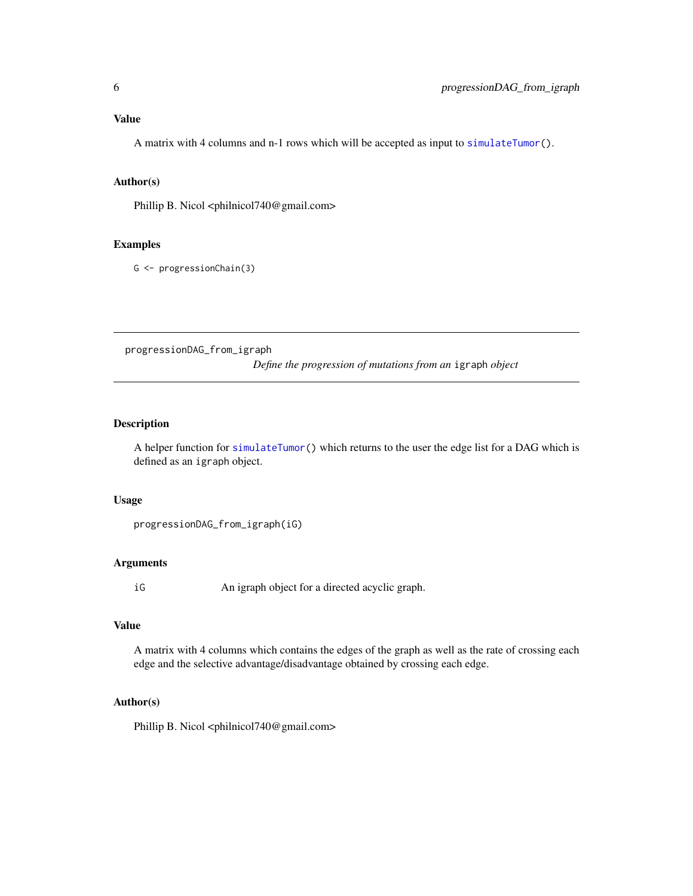#### <span id="page-5-0"></span>Value

A matrix with 4 columns and n-1 rows which will be accepted as input to [simulateTumor\(](#page-9-1)).

#### Author(s)

Phillip B. Nicol <philnicol740@gmail.com>

#### Examples

G <- progressionChain(3)

progressionDAG\_from\_igraph *Define the progression of mutations from an* igraph *object*

#### Description

A helper function for [simulateTumor\(](#page-9-1)) which returns to the user the edge list for a DAG which is defined as an igraph object.

#### Usage

```
progressionDAG_from_igraph(iG)
```
#### Arguments

iG An igraph object for a directed acyclic graph.

#### Value

A matrix with 4 columns which contains the edges of the graph as well as the rate of crossing each edge and the selective advantage/disadvantage obtained by crossing each edge.

#### Author(s)

Phillip B. Nicol <philnicol740@gmail.com>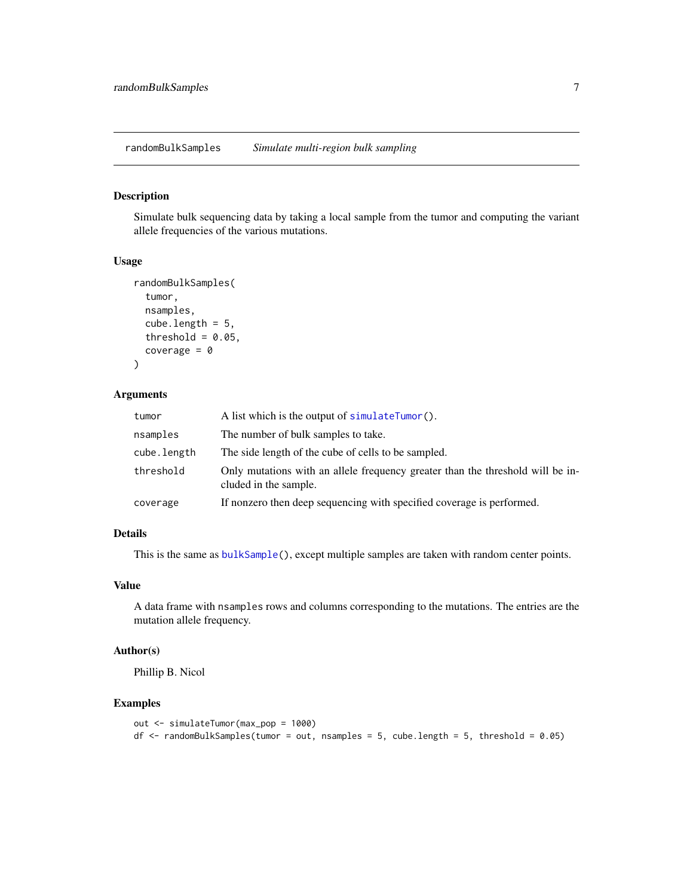<span id="page-6-0"></span>randomBulkSamples *Simulate multi-region bulk sampling*

#### Description

Simulate bulk sequencing data by taking a local sample from the tumor and computing the variant allele frequencies of the various mutations.

#### Usage

```
randomBulkSamples(
  tumor,
  nsamples,
  cube.length = 5,
  threshold = 0.05,
  coverage = \theta\lambda
```
#### Arguments

| tumor       | A list which is the output of simulateTumor().                                                          |
|-------------|---------------------------------------------------------------------------------------------------------|
| nsamples    | The number of bulk samples to take.                                                                     |
| cube.length | The side length of the cube of cells to be sampled.                                                     |
| threshold   | Only mutations with an allele frequency greater than the threshold will be in-<br>cluded in the sample. |
| coverage    | If nonzero then deep sequencing with specified coverage is performed.                                   |

#### Details

This is the same as [bulkSample\(](#page-2-1)), except multiple samples are taken with random center points.

#### Value

A data frame with nsamples rows and columns corresponding to the mutations. The entries are the mutation allele frequency.

#### Author(s)

Phillip B. Nicol

```
out <- simulateTumor(max_pop = 1000)
df \le - randomBulkSamples(tumor = out, nsamples = 5, cube.length = 5, threshold = 0.05)
```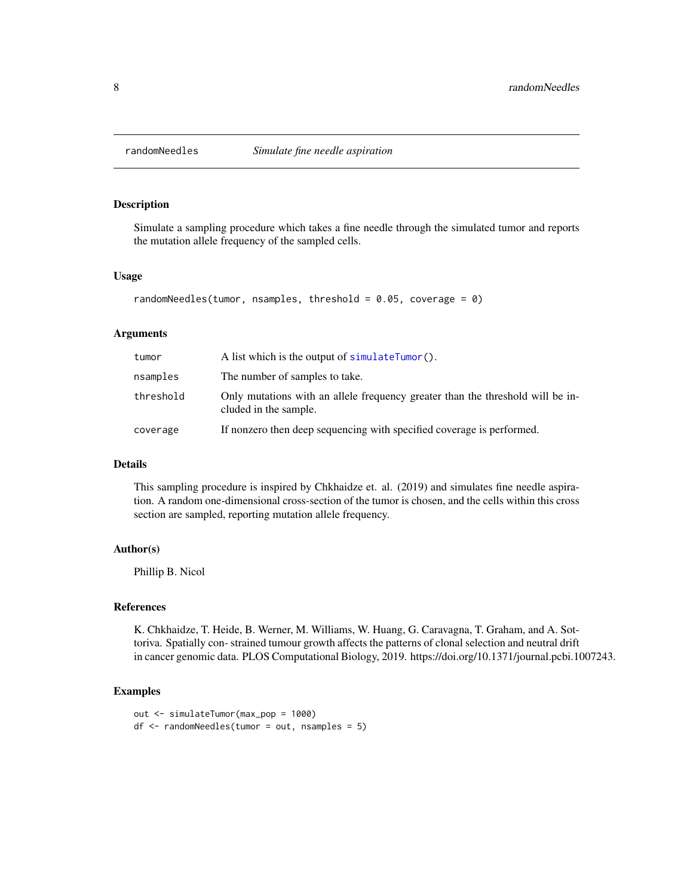<span id="page-7-0"></span>

Simulate a sampling procedure which takes a fine needle through the simulated tumor and reports the mutation allele frequency of the sampled cells.

#### Usage

```
randomNeedles(tumor, nsamples, threshold = 0.05, coverage = 0)
```
#### Arguments

| tumor     | A list which is the output of simulateTumor().                                                          |
|-----------|---------------------------------------------------------------------------------------------------------|
| nsamples  | The number of samples to take.                                                                          |
| threshold | Only mutations with an allele frequency greater than the threshold will be in-<br>cluded in the sample. |
| coverage  | If nonzero then deep sequencing with specified coverage is performed.                                   |

#### Details

This sampling procedure is inspired by Chkhaidze et. al. (2019) and simulates fine needle aspiration. A random one-dimensional cross-section of the tumor is chosen, and the cells within this cross section are sampled, reporting mutation allele frequency.

#### Author(s)

Phillip B. Nicol

#### References

K. Chkhaidze, T. Heide, B. Werner, M. Williams, W. Huang, G. Caravagna, T. Graham, and A. Sottoriva. Spatially con- strained tumour growth affects the patterns of clonal selection and neutral drift in cancer genomic data. PLOS Computational Biology, 2019. https://doi.org/10.1371/journal.pcbi.1007243.

```
out <- simulateTumor(max_pop = 1000)
df <- randomNeedles(tumor = out, nsamples = 5)
```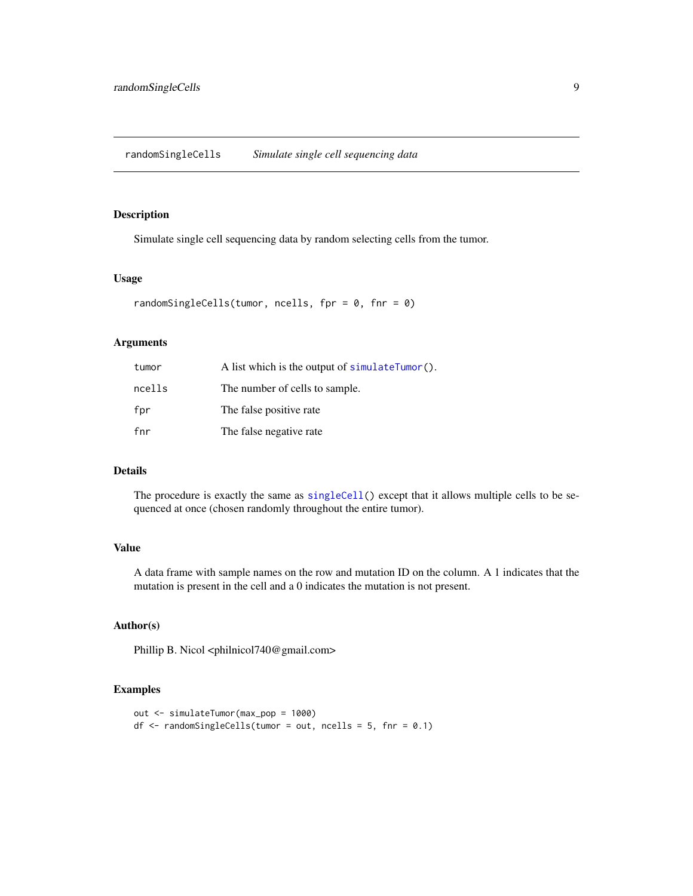<span id="page-8-0"></span>Simulate single cell sequencing data by random selecting cells from the tumor.

#### Usage

```
randomSingleCells(tumor, ncells, fpr = 0, fnr = 0)
```
#### Arguments

| tumor  | A list which is the output of $simulateTurnor()$ . |
|--------|----------------------------------------------------|
| ncells | The number of cells to sample.                     |
| fpr    | The false positive rate                            |
| fnr    | The false negative rate                            |

#### Details

The procedure is exactly the same as [singleCell\(](#page-11-1)) except that it allows multiple cells to be sequenced at once (chosen randomly throughout the entire tumor).

#### Value

A data frame with sample names on the row and mutation ID on the column. A 1 indicates that the mutation is present in the cell and a 0 indicates the mutation is not present.

#### Author(s)

Phillip B. Nicol <philnicol740@gmail.com>

```
out <- simulateTumor(max_pop = 1000)
df \le randomSingleCells(tumor = out, ncells = 5, fnr = 0.1)
```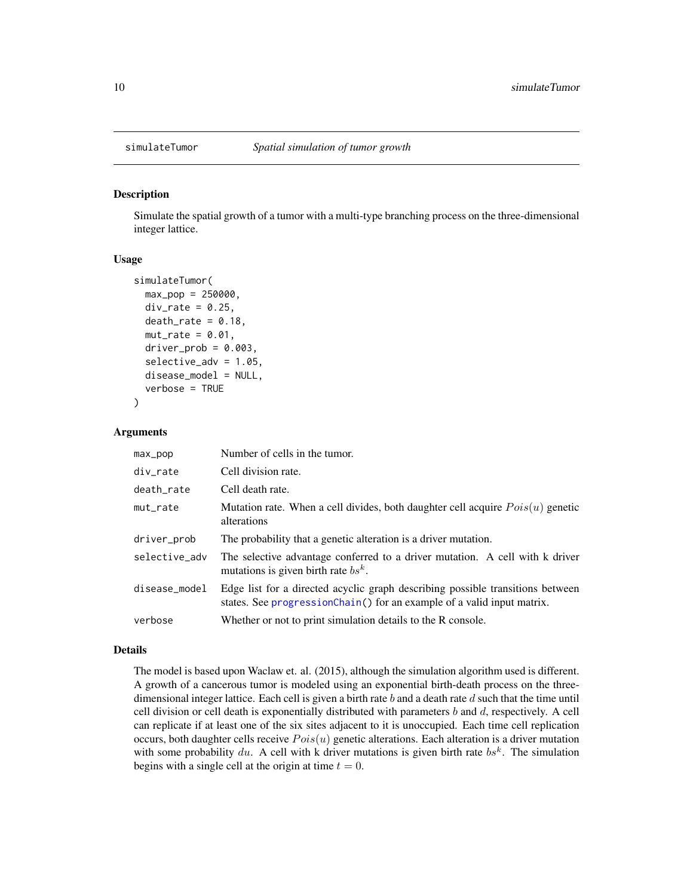<span id="page-9-1"></span><span id="page-9-0"></span>

Simulate the spatial growth of a tumor with a multi-type branching process on the three-dimensional integer lattice.

#### Usage

```
simulateTumor(
 max\_pop = 250000,div_rate = 0.25,
  death_rate = 0.18,
  mut_rate = 0.01,driver\_prob = 0.003,
  selective_adv = 1.05,
  disease_model = NULL,
  verbose = TRUE
)
```
#### Arguments

| max_pop       | Number of cells in the tumor.                                                                                                                            |
|---------------|----------------------------------------------------------------------------------------------------------------------------------------------------------|
| div_rate      | Cell division rate.                                                                                                                                      |
| death rate    | Cell death rate.                                                                                                                                         |
| mut rate      | Mutation rate. When a cell divides, both daughter cell acquire $Pois(u)$ genetic<br>alterations                                                          |
| driver_prob   | The probability that a genetic alteration is a driver mutation.                                                                                          |
| selective adv | The selective advantage conferred to a driver mutation. A cell with k driver<br>mutations is given birth rate $bs^k$ .                                   |
| disease_model | Edge list for a directed acyclic graph describing possible transitions between<br>states. See progressionChain() for an example of a valid input matrix. |
| verbose       | Whether or not to print simulation details to the R console.                                                                                             |

#### Details

The model is based upon Waclaw et. al. (2015), although the simulation algorithm used is different. A growth of a cancerous tumor is modeled using an exponential birth-death process on the threedimensional integer lattice. Each cell is given a birth rate  $b$  and a death rate  $d$  such that the time until cell division or cell death is exponentially distributed with parameters  $b$  and  $d$ , respectively. A cell can replicate if at least one of the six sites adjacent to it is unoccupied. Each time cell replication occurs, both daughter cells receive  $Pois(u)$  genetic alterations. Each alteration is a driver mutation with some probability du. A cell with k driver mutations is given birth rate  $bs<sup>k</sup>$ . The simulation begins with a single cell at the origin at time  $t = 0$ .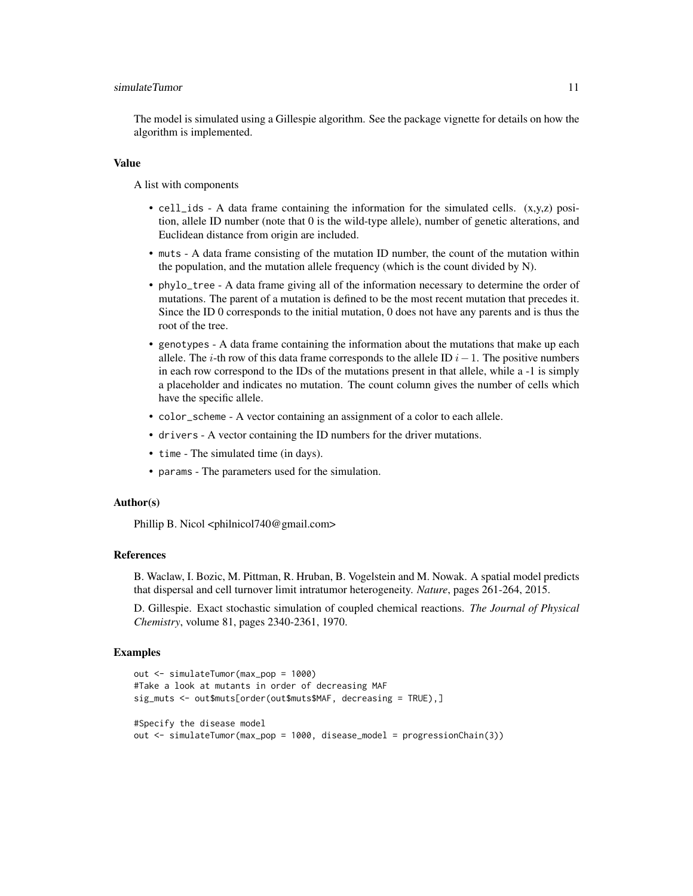#### simulateTumor 11

The model is simulated using a Gillespie algorithm. See the package vignette for details on how the algorithm is implemented.

#### Value

A list with components

- cell\_ids A data frame containing the information for the simulated cells. (x,y,z) position, allele ID number (note that 0 is the wild-type allele), number of genetic alterations, and Euclidean distance from origin are included.
- muts A data frame consisting of the mutation ID number, the count of the mutation within the population, and the mutation allele frequency (which is the count divided by N).
- phylo\_tree A data frame giving all of the information necessary to determine the order of mutations. The parent of a mutation is defined to be the most recent mutation that precedes it. Since the ID 0 corresponds to the initial mutation, 0 does not have any parents and is thus the root of the tree.
- genotypes A data frame containing the information about the mutations that make up each allele. The i-th row of this data frame corresponds to the allele ID  $i-1$ . The positive numbers in each row correspond to the IDs of the mutations present in that allele, while a -1 is simply a placeholder and indicates no mutation. The count column gives the number of cells which have the specific allele.
- color\_scheme A vector containing an assignment of a color to each allele.
- drivers A vector containing the ID numbers for the driver mutations.
- time The simulated time (in days).
- params The parameters used for the simulation.

#### Author(s)

Phillip B. Nicol <philnicol740@gmail.com>

#### References

B. Waclaw, I. Bozic, M. Pittman, R. Hruban, B. Vogelstein and M. Nowak. A spatial model predicts that dispersal and cell turnover limit intratumor heterogeneity. *Nature*, pages 261-264, 2015.

D. Gillespie. Exact stochastic simulation of coupled chemical reactions. *The Journal of Physical Chemistry*, volume 81, pages 2340-2361, 1970.

```
out <- simulateTumor(max_pop = 1000)
#Take a look at mutants in order of decreasing MAF
sig_muts <- out$muts[order(out$muts$MAF, decreasing = TRUE),]
#Specify the disease model
out <- simulateTumor(max_pop = 1000, disease_model = progressionChain(3))
```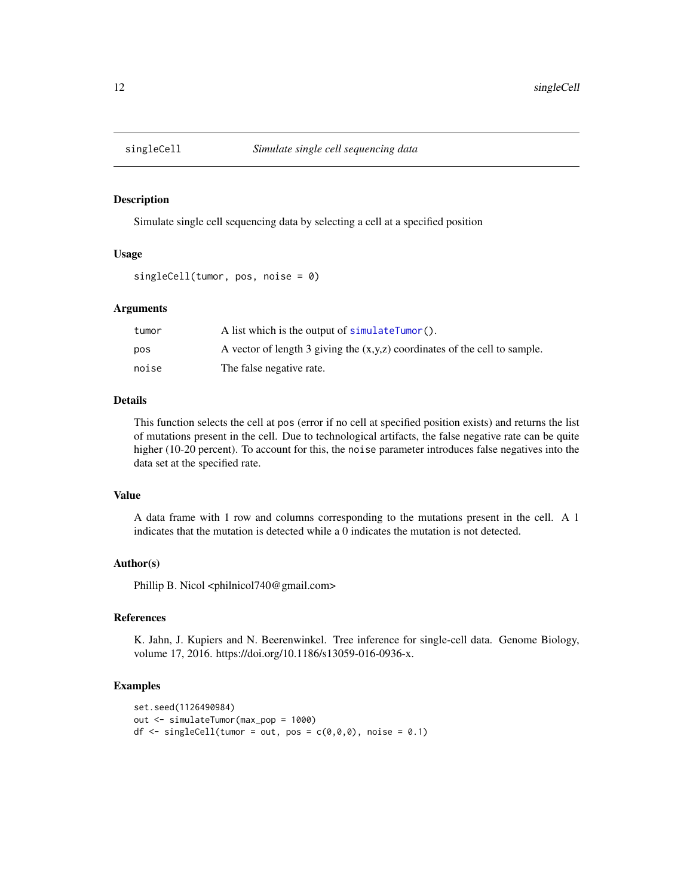<span id="page-11-1"></span><span id="page-11-0"></span>

Simulate single cell sequencing data by selecting a cell at a specified position

#### Usage

```
singleCell(tumor, pos, noise = 0)
```
#### Arguments

| tumor | A list which is the output of simulateTumor().                               |
|-------|------------------------------------------------------------------------------|
| pos   | A vector of length 3 giving the $(x,y,z)$ coordinates of the cell to sample. |
| noise | The false negative rate.                                                     |

#### Details

This function selects the cell at pos (error if no cell at specified position exists) and returns the list of mutations present in the cell. Due to technological artifacts, the false negative rate can be quite higher (10-20 percent). To account for this, the noise parameter introduces false negatives into the data set at the specified rate.

#### Value

A data frame with 1 row and columns corresponding to the mutations present in the cell. A 1 indicates that the mutation is detected while a 0 indicates the mutation is not detected.

#### Author(s)

Phillip B. Nicol <philnicol740@gmail.com>

#### References

K. Jahn, J. Kupiers and N. Beerenwinkel. Tree inference for single-cell data. Genome Biology, volume 17, 2016. https://doi.org/10.1186/s13059-016-0936-x.

```
set.seed(1126490984)
out <- simulateTumor(max_pop = 1000)
df \le singleCell(tumor = out, pos = c(\emptyset, \emptyset, \emptyset), noise = 0.1)
```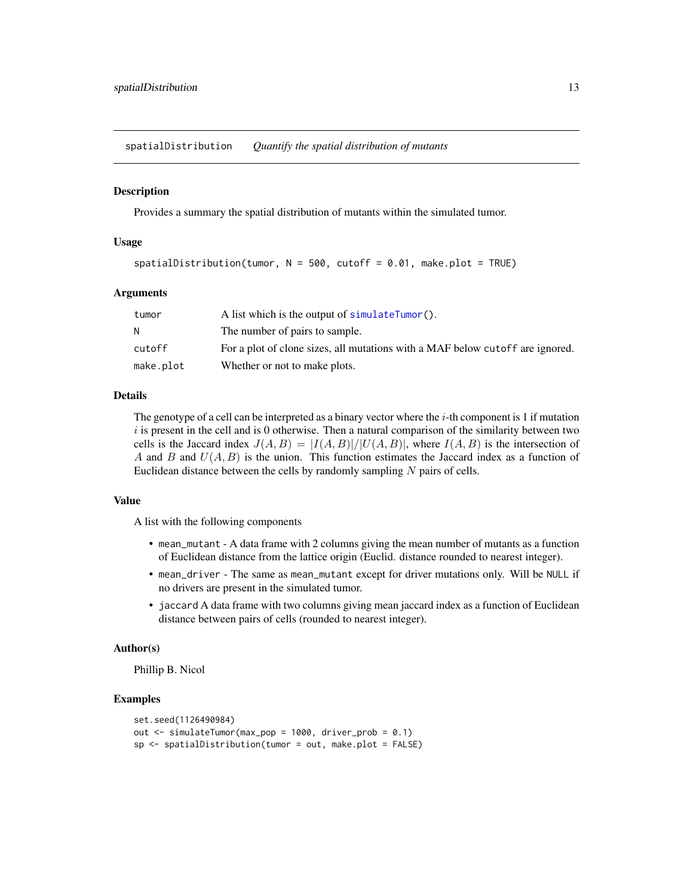<span id="page-12-0"></span>spatialDistribution *Quantify the spatial distribution of mutants*

#### **Description**

Provides a summary the spatial distribution of mutants within the simulated tumor.

#### Usage

 $spatial Distribution(tumor, N = 500, cutoff = 0.01, make.plot = TRUE)$ 

#### Arguments

| tumor     | A list which is the output of simulateTumor().                                |
|-----------|-------------------------------------------------------------------------------|
|           | The number of pairs to sample.                                                |
| cutoff    | For a plot of clone sizes, all mutations with a MAF below cutoff are ignored. |
| make.plot | Whether or not to make plots.                                                 |

#### Details

The genotype of a cell can be interpreted as a binary vector where the  $i$ -th component is 1 if mutation  $i$  is present in the cell and is 0 otherwise. Then a natural comparison of the similarity between two cells is the Jaccard index  $J(A, B) = |I(A, B)|/|U(A, B)|$ , where  $I(A, B)$  is the intersection of A and B and  $U(A, B)$  is the union. This function estimates the Jaccard index as a function of Euclidean distance between the cells by randomly sampling  $N$  pairs of cells.

#### Value

A list with the following components

- mean\_mutant A data frame with 2 columns giving the mean number of mutants as a function of Euclidean distance from the lattice origin (Euclid. distance rounded to nearest integer).
- mean\_driver The same as mean\_mutant except for driver mutations only. Will be NULL if no drivers are present in the simulated tumor.
- jaccard A data frame with two columns giving mean jaccard index as a function of Euclidean distance between pairs of cells (rounded to nearest integer).

#### Author(s)

Phillip B. Nicol

```
set.seed(1126490984)
out <- simulateTumor(max_pop = 1000, driver_prob = 0.1)
sp <- spatialDistribution(tumor = out, make.plot = FALSE)
```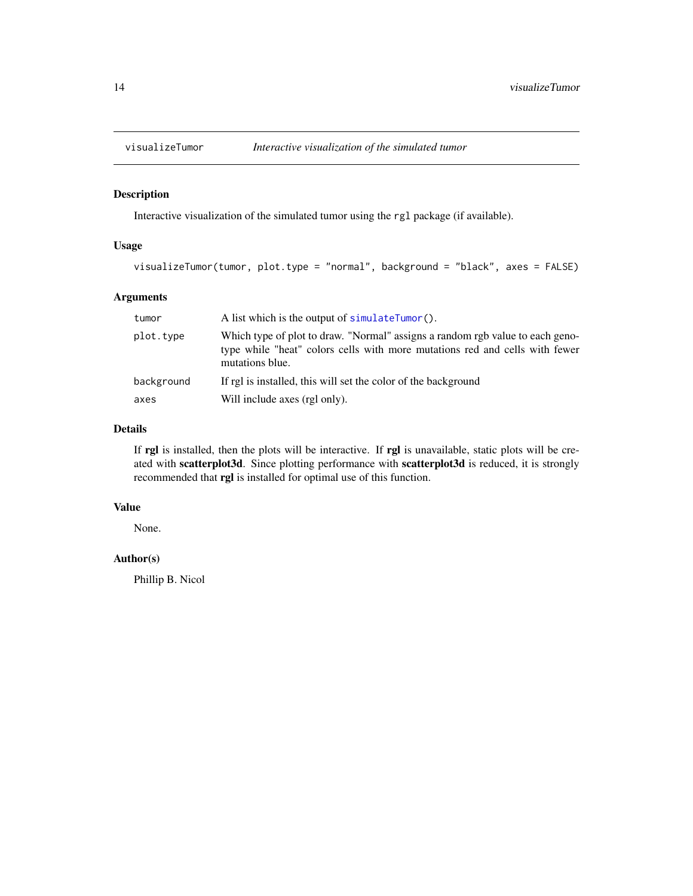<span id="page-13-0"></span>

Interactive visualization of the simulated tumor using the rgl package (if available).

#### Usage

```
visualizeTumor(tumor, plot.type = "normal", background = "black", axes = FALSE)
```
#### Arguments

| tumor      | A list which is the output of simulateTumor().                                                                                                                                  |
|------------|---------------------------------------------------------------------------------------------------------------------------------------------------------------------------------|
| plot.type  | Which type of plot to draw. "Normal" assigns a random rgb value to each geno-<br>type while "heat" colors cells with more mutations red and cells with fewer<br>mutations blue. |
| background | If rgl is installed, this will set the color of the background                                                                                                                  |
| axes       | Will include axes (rgl only).                                                                                                                                                   |

#### Details

If rgl is installed, then the plots will be interactive. If rgl is unavailable, static plots will be created with scatterplot3d. Since plotting performance with scatterplot3d is reduced, it is strongly recommended that rgl is installed for optimal use of this function.

#### Value

None.

#### Author(s)

Phillip B. Nicol